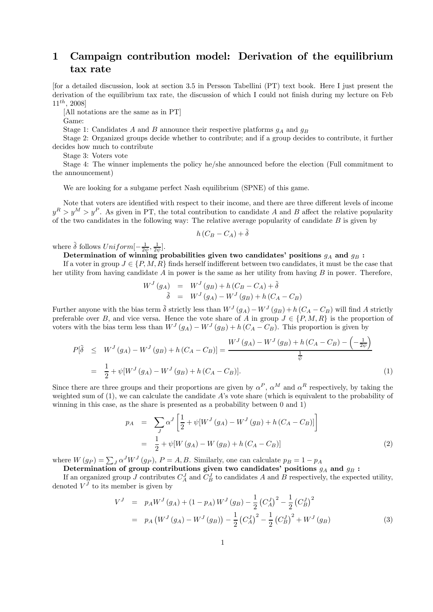## 1 Campaign contribution model: Derivation of the equilibrium tax rate

[for a detailed discussion, look at section 3.5 in Persson Tabellini (PT) text book. Here I just present the derivation of the equilibrium tax rate, the discussion of which I could not finish during my lecture on Feb  $11^{th}$ , 2008]

[All notations are the same as in PT]

Game:

Stage 1: Candidates A and B announce their respective platforms  $g_A$  and  $g_B$ 

Stage 2: Organized groups decide whether to contribute; and if a group decides to contribute, it further decides how much to contribute

Stage 3: Voters vote

Stage 4: The winner implements the policy he/she announced before the election (Full commitment to the announcement)

We are looking for a subgame perfect Nash equilibrium (SPNE) of this game.

Note that voters are identified with respect to their income, and there are three different levels of income  $y^R > y^M > y^P$ . As given in PT, the total contribution to candidate A and B affect the relative popularity of the two candidates in the following way: The relative average popularity of candidate  $B$  is given by

$$
h\left(C_B - C_A\right) + \tilde{\delta}
$$

where  $\tilde{\delta}$  follows  $Uniform[-\frac{1}{2\psi}, \frac{1}{2\psi}].$ 

Determination of winning probabilities given two candidates' positions  $g_A$  and  $g_B$ :

If a voter in group  $J \in \{P, M, R\}$  finds herself indifferent between two candidates, it must be the case that her utility from having candidate  $A$  in power is the same as her utility from having  $B$  in power. Therefore,

$$
W^{J}(g_{A}) = W^{J}(g_{B}) + h(C_{B} - C_{A}) + \tilde{\delta}
$$
  

$$
\tilde{\delta} = W^{J}(g_{A}) - W^{J}(g_{B}) + h(C_{A} - C_{B})
$$

Further anyone with the bias term  $\tilde{\delta}$  strictly less than  $W^J(g_A) - W^J(g_B) + h(C_A - C_B)$  will find A strictly preferable over B, and vice versa. Hence the vote share of A in group  $J \in \{P, M, R\}$  is the proportion of voters with the bias term less than  $W^J(g_A) - W^J(g_B) + h(C_A - C_B)$ . This proportion is given by

$$
P[\tilde{\delta} \leq W^J(g_A) - W^J(g_B) + h(C_A - C_B)] = \frac{W^J(g_A) - W^J(g_B) + h(C_A - C_B) - \left(-\frac{1}{2\psi}\right)}{\frac{1}{\psi}}
$$
  
=  $\frac{1}{2} + \psi[W^J(g_A) - W^J(g_B) + h(C_A - C_B)].$  (1)

Since there are three groups and their proportions are given by  $\alpha^P$ ,  $\alpha^M$  and  $\alpha^R$  respectively, by taking the weighted sum of  $(1)$ , we can calculate the candidate A's vote share (which is equivalent to the probability of winning in this case, as the share is presented as a probability between 0 and 1)

$$
p_A = \sum_J \alpha^J \left[ \frac{1}{2} + \psi[W^J(g_A) - W^J(g_B) + h(C_A - C_B)] \right]
$$
  
= 
$$
\frac{1}{2} + \psi[W(g_A) - W(g_B) + h(C_A - C_B)]
$$
 (2)

where  $W(g_P) = \sum_J \alpha^J W^J(g_P)$ ,  $P = A, B$ . Similarly, one can calculate  $p_B = 1 - p_A$ 

Determination of group contributions given two candidates' positions  $g_A$  and  $g_B$ :

If an organized group J contributes  $C_A^J$  and  $C_B^J$  to candidates A and B respectively, the expected utility, denoted  $V<sup>J</sup>$  to its member is given by

$$
V^{J} = p_{A}W^{J}(g_{A}) + (1 - p_{A})W^{J}(g_{B}) - \frac{1}{2}(C_{A}^{J})^{2} - \frac{1}{2}(C_{B}^{J})^{2}
$$
  
=  $p_{A}(W^{J}(g_{A}) - W^{J}(g_{B})) - \frac{1}{2}(C_{A}^{J})^{2} - \frac{1}{2}(C_{B}^{J})^{2} + W^{J}(g_{B})$  (3)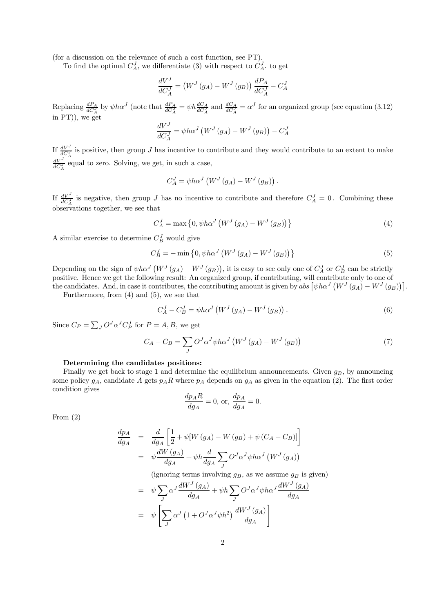(for a discussion on the relevance of such a cost function, see PT).

To find the optimal  $C_A^J$ , we differentiate (3) with respect to  $C_A^J$ . to get

$$
\frac{dV^J}{dC_A^J} = (W^J(g_A) - W^J(g_B))\frac{dP_A}{dC_A^J} - C_A^J
$$

Replacing  $\frac{dP_A}{dC_A^J}$  by  $\psi h \alpha^J$  (note that  $\frac{dP_A}{dC_A^J} = \psi h \frac{dC_A}{dC_A^J}$  and  $\frac{dC_A}{dC_A^J} = \alpha^J$  for an organized group (see equation (3.12) in PT)), we get

$$
\frac{dV^J}{dC_A^J} = \psi h \alpha^J \left( W^J \left( g_A \right) - W^J \left( g_B \right) \right) - C_A^J
$$

If  $\frac{dV^J}{dC_A^J}$  is positive, then group J has incentive to contribute and they would contribute to an extent to make  $\frac{dV^J}{dC_A^J}$  equal to zero. Solving, we get, in such a case,

$$
C_A^J = \psi h \alpha^J \left( W^J \left( g_A \right) - W^J \left( g_B \right) \right).
$$

If  $\frac{dV^J}{dC_A^J}$  is negative, then group J has no incentive to contribute and therefore  $C_A^J = 0$ . Combining these observations together, we see that

$$
C_A^J = \max\left\{0, \psi h \alpha^J \left(W^J \left(g_A\right) - W^J \left(g_B\right)\right)\right\} \tag{4}
$$

A similar exercise to determine  $C_B^J$  would give

$$
C_B^J = -\min\left\{0, \psi h \alpha^J \left(W^J \left(g_A\right) - W^J \left(g_B\right)\right)\right\} \tag{5}
$$

Depending on the sign of  $\psi h \alpha^J (W^J(g_A) - W^J(g_B))$ , it is easy to see only one of  $C^J_A$  or  $C^J_B$  can be strictly positive. Hence we get the following result: An organized group, if contributing, will contribute only to one of the candidates. And, in case it contributes, the contributing amount is given by  $\text{abs}\left[\psi h \alpha^{J} \left(W^{J}\left(g_{A}\right) - W^{J}\left(g_{B}\right)\right)\right]$ .

Furthermore, from (4) and (5), we see that

$$
C_A^J - C_B^J = \psi h \alpha^J \left( W^J \left( g_A \right) - W^J \left( g_B \right) \right). \tag{6}
$$

Since  $C_P = \sum_J O^J \alpha^J C_P^J$  for  $P = A, B$ , we get

$$
C_A - C_B = \sum_{J} O^J \alpha^J \psi h \alpha^J \left( W^J \left( g_A \right) - W^J \left( g_B \right) \right) \tag{7}
$$

## Determining the candidates positions:

Finally we get back to stage 1 and determine the equilibrium announcements. Given  $g_B$ , by announcing some policy  $g_A$ , candidate A gets  $p_A R$  where  $p_A$  depends on  $g_A$  as given in the equation (2). The first order condition gives

$$
\frac{dp_A R}{dg_A} = 0, \text{ or, } \frac{dp_A}{dg_A} = 0.
$$

From (2)

$$
\frac{dp_A}{dg_A} = \frac{d}{dg_A} \left[ \frac{1}{2} + \psi[W(g_A) - W(g_B) + \psi(C_A - C_B)] \right]
$$

$$
= \psi \frac{dW(g_A)}{dg_A} + \psi h \frac{d}{dg_A} \sum_J O^J \alpha^J \psi h \alpha^J (W^J(g_A))
$$

(ignoring terms involving  $g_B$ , as we assume  $g_B$  is given)

$$
= \psi \sum_{J} \alpha^{J} \frac{dW^{J}(g_{A})}{dg_{A}} + \psi h \sum_{J} O^{J} \alpha^{J} \psi h \alpha^{J} \frac{dW^{J}(g_{A})}{dg_{A}}
$$

$$
= \psi \left[ \sum_{J} \alpha^{J} (1 + O^{J} \alpha^{J} \psi h^{2}) \frac{dW^{J}(g_{A})}{dg_{A}} \right]
$$